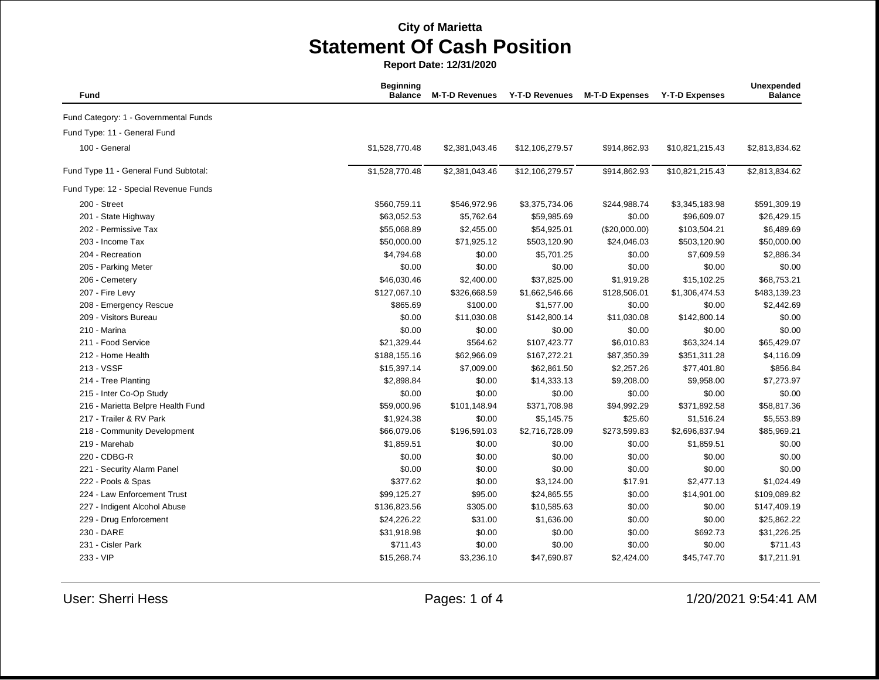**Report Date: 12/31/2020**

| Fund                                  | <b>Beginning</b><br><b>Balance</b> | <b>M-T-D Revenues</b> | <b>Y-T-D Revenues</b> | <b>M-T-D Expenses</b> | <b>Y-T-D Expenses</b> | Unexpended<br><b>Balance</b> |
|---------------------------------------|------------------------------------|-----------------------|-----------------------|-----------------------|-----------------------|------------------------------|
| Fund Category: 1 - Governmental Funds |                                    |                       |                       |                       |                       |                              |
| Fund Type: 11 - General Fund          |                                    |                       |                       |                       |                       |                              |
| 100 - General                         | \$1,528,770.48                     | \$2,381,043.46        | \$12,106,279.57       | \$914,862.93          | \$10,821,215.43       | \$2,813,834.62               |
| Fund Type 11 - General Fund Subtotal: | \$1,528,770.48                     | \$2,381,043.46        | \$12,106,279.57       | \$914,862.93          | \$10,821,215.43       | \$2,813,834.62               |
| Fund Type: 12 - Special Revenue Funds |                                    |                       |                       |                       |                       |                              |
| 200 - Street                          | \$560,759.11                       | \$546,972.96          | \$3,375,734.06        | \$244,988.74          | \$3,345,183.98        | \$591,309.19                 |
| 201 - State Highway                   | \$63,052.53                        | \$5,762.64            | \$59,985.69           | \$0.00                | \$96,609.07           | \$26,429.15                  |
| 202 - Permissive Tax                  | \$55,068.89                        | \$2,455.00            | \$54,925.01           | (\$20,000.00)         | \$103,504.21          | \$6,489.69                   |
| 203 - Income Tax                      | \$50,000.00                        | \$71,925.12           | \$503,120.90          | \$24,046.03           | \$503,120.90          | \$50,000.00                  |
| 204 - Recreation                      | \$4,794.68                         | \$0.00                | \$5,701.25            | \$0.00                | \$7,609.59            | \$2,886.34                   |
| 205 - Parking Meter                   | \$0.00                             | \$0.00                | \$0.00                | \$0.00                | \$0.00                | \$0.00                       |
| 206 - Cemetery                        | \$46,030.46                        | \$2,400.00            | \$37,825.00           | \$1,919.28            | \$15,102.25           | \$68,753.21                  |
| 207 - Fire Levy                       | \$127,067.10                       | \$326,668.59          | \$1,662,546.66        | \$128,506.01          | \$1,306,474.53        | \$483,139.23                 |
| 208 - Emergency Rescue                | \$865.69                           | \$100.00              | \$1,577.00            | \$0.00                | \$0.00                | \$2,442.69                   |
| 209 - Visitors Bureau                 | \$0.00                             | \$11,030.08           | \$142,800.14          | \$11,030.08           | \$142,800.14          | \$0.00                       |
| 210 - Marina                          | \$0.00                             | \$0.00                | \$0.00                | \$0.00                | \$0.00                | \$0.00                       |
| 211 - Food Service                    | \$21,329.44                        | \$564.62              | \$107,423.77          | \$6,010.83            | \$63,324.14           | \$65,429.07                  |
| 212 - Home Health                     | \$188,155.16                       | \$62,966.09           | \$167,272.21          | \$87,350.39           | \$351,311.28          | \$4,116.09                   |
| 213 - VSSF                            | \$15,397.14                        | \$7,009.00            | \$62,861.50           | \$2,257.26            | \$77,401.80           | \$856.84                     |
| 214 - Tree Planting                   | \$2,898.84                         | \$0.00                | \$14,333.13           | \$9,208.00            | \$9,958.00            | \$7,273.97                   |
| 215 - Inter Co-Op Study               | \$0.00                             | \$0.00                | \$0.00                | \$0.00                | \$0.00                | \$0.00                       |
| 216 - Marietta Belpre Health Fund     | \$59,000.96                        | \$101,148.94          | \$371,708.98          | \$94,992.29           | \$371,892.58          | \$58,817.36                  |
| 217 - Trailer & RV Park               | \$1,924.38                         | \$0.00                | \$5,145.75            | \$25.60               | \$1,516.24            | \$5,553.89                   |
| 218 - Community Development           | \$66,079.06                        | \$196,591.03          | \$2,716,728.09        | \$273,599.83          | \$2,696,837.94        | \$85,969.21                  |
| 219 - Marehab                         | \$1,859.51                         | \$0.00                | \$0.00                | \$0.00                | \$1,859.51            | \$0.00                       |
| 220 - CDBG-R                          | \$0.00                             | \$0.00                | \$0.00                | \$0.00                | \$0.00                | \$0.00                       |
| 221 - Security Alarm Panel            | \$0.00                             | \$0.00                | \$0.00                | \$0.00                | \$0.00                | \$0.00                       |
| 222 - Pools & Spas                    | \$377.62                           | \$0.00                | \$3,124.00            | \$17.91               | \$2,477.13            | \$1,024.49                   |
| 224 - Law Enforcement Trust           | \$99,125.27                        | \$95.00               | \$24,865.55           | \$0.00                | \$14,901.00           | \$109,089.82                 |
| 227 - Indigent Alcohol Abuse          | \$136,823.56                       | \$305.00              | \$10,585.63           | \$0.00                | \$0.00                | \$147,409.19                 |
| 229 - Drug Enforcement                | \$24,226.22                        | \$31.00               | \$1,636.00            | \$0.00                | \$0.00                | \$25,862.22                  |
| 230 - DARE                            | \$31,918.98                        | \$0.00                | \$0.00                | \$0.00                | \$692.73              | \$31,226.25                  |
| 231 - Cisler Park                     | \$711.43                           | \$0.00                | \$0.00                | \$0.00                | \$0.00                | \$711.43                     |
| 233 - VIP                             | \$15,268.74                        | \$3,236.10            | \$47,690.87           | \$2,424.00            | \$45,747.70           | \$17,211.91                  |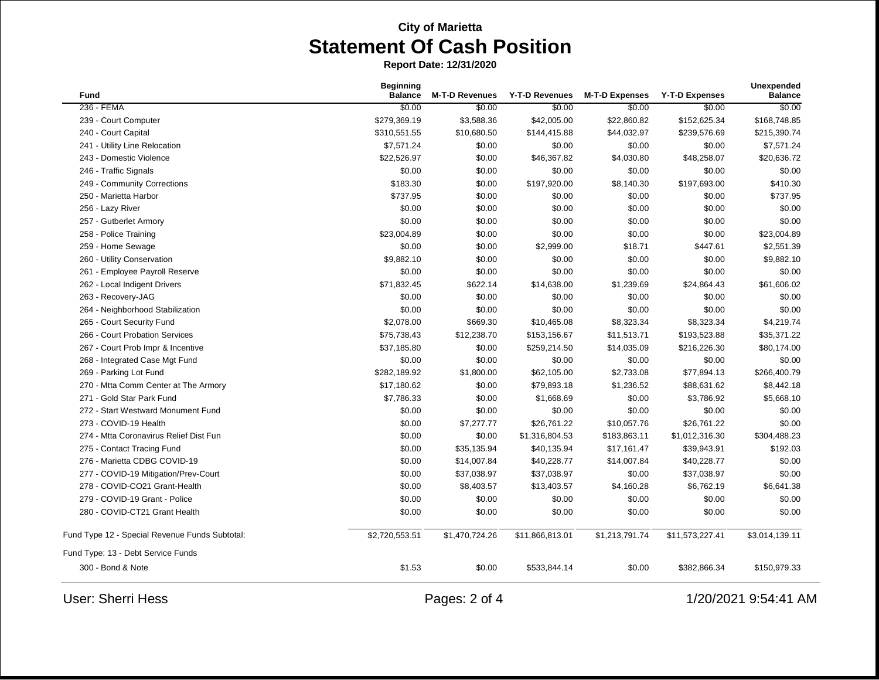**Report Date: 12/31/2020**

| Fund                                           | <b>Beginning</b><br><b>Balance</b>    | <b>M-T-D Revenues</b> | <b>Y-T-D Revenues</b> | <b>M-T-D Expenses</b> | <b>Y-T-D Expenses</b> | <b>Unexpended</b><br><b>Balance</b> |
|------------------------------------------------|---------------------------------------|-----------------------|-----------------------|-----------------------|-----------------------|-------------------------------------|
| 236 - FEMA                                     | \$0.00                                | \$0.00                | \$0.00                | \$0.00                | \$0.00                | \$0.00                              |
| 239 - Court Computer                           | \$279,369.19                          | \$3,588.36            | \$42,005.00           | \$22,860.82           | \$152,625.34          | \$168,748.85                        |
| 240 - Court Capital                            | \$310,551.55                          | \$10,680.50           | \$144,415.88          | \$44,032.97           | \$239,576.69          | \$215,390.74                        |
| 241 - Utility Line Relocation                  | \$7,571.24                            | \$0.00                | \$0.00                | \$0.00                | \$0.00                | \$7,571.24                          |
| 243 - Domestic Violence                        | \$22,526.97                           | \$0.00                | \$46,367.82           | \$4,030.80            | \$48,258.07           | \$20,636.72                         |
| 246 - Traffic Signals                          | \$0.00                                | \$0.00                | \$0.00                | \$0.00                | \$0.00                | \$0.00                              |
| 249 - Community Corrections                    | \$183.30                              | \$0.00                | \$197,920.00          | \$8,140.30            | \$197,693.00          | \$410.30                            |
| 250 - Marietta Harbor                          | \$737.95                              | \$0.00                | \$0.00                | \$0.00                | \$0.00                | \$737.95                            |
| 256 - Lazy River                               | \$0.00                                | \$0.00                | \$0.00                | \$0.00                | \$0.00                | \$0.00                              |
| 257 - Gutberlet Armory                         | \$0.00                                | \$0.00                | \$0.00                | \$0.00                | \$0.00                | \$0.00                              |
| 258 - Police Training                          | \$23,004.89                           | \$0.00                | \$0.00                | \$0.00                | \$0.00                | \$23,004.89                         |
| 259 - Home Sewage                              | \$0.00                                | \$0.00                | \$2,999.00            | \$18.71               | \$447.61              | \$2,551.39                          |
| 260 - Utility Conservation                     | \$9,882.10                            | \$0.00                | \$0.00                | \$0.00                | \$0.00                | \$9,882.10                          |
| 261 - Employee Payroll Reserve                 | \$0.00                                | \$0.00                | \$0.00                | \$0.00                | \$0.00                | \$0.00                              |
| 262 - Local Indigent Drivers                   | \$71,832.45                           | \$622.14              | \$14,638.00           | \$1,239.69            | \$24,864.43           | \$61,606.02                         |
| 263 - Recovery-JAG                             | \$0.00                                | \$0.00                | \$0.00                | \$0.00                | \$0.00                | \$0.00                              |
| 264 - Neighborhood Stabilization               | \$0.00                                | \$0.00                | \$0.00                | \$0.00                | \$0.00                | \$0.00                              |
| 265 - Court Security Fund                      | \$2,078.00                            | \$669.30              | \$10,465.08           | \$8,323.34            | \$8,323.34            | \$4,219.74                          |
| 266 - Court Probation Services                 | \$75,738.43                           | \$12,238.70           | \$153,156.67          | \$11,513.71           | \$193,523.88          | \$35,371.22                         |
| 267 - Court Prob Impr & Incentive              | \$37,185.80                           | \$0.00                | \$259,214.50          | \$14,035.09           | \$216,226.30          | \$80,174.00                         |
| 268 - Integrated Case Mgt Fund                 | \$0.00                                | \$0.00                | \$0.00                | \$0.00                | \$0.00                | \$0.00                              |
| 269 - Parking Lot Fund                         | \$282,189.92                          | \$1,800.00            | \$62,105.00           | \$2,733.08            | \$77,894.13           | \$266,400.79                        |
| 270 - Mtta Comm Center at The Armory           | \$17,180.62                           | \$0.00                | \$79,893.18           | \$1,236.52            | \$88,631.62           | \$8,442.18                          |
| 271 - Gold Star Park Fund                      | \$7,786.33                            | \$0.00                | \$1,668.69            | \$0.00                | \$3,786.92            | \$5,668.10                          |
| 272 - Start Westward Monument Fund             | \$0.00                                | \$0.00                | \$0.00                | \$0.00                | \$0.00                | \$0.00                              |
| 273 - COVID-19 Health                          | \$0.00                                | \$7,277.77            | \$26,761.22           | \$10,057.76           | \$26,761.22           | \$0.00                              |
| 274 - Mtta Coronavirus Relief Dist Fun         | \$0.00                                | \$0.00                | \$1,316,804.53        | \$183,863.11          | \$1,012,316.30        | \$304,488.23                        |
| 275 - Contact Tracing Fund                     | \$0.00                                | \$35,135.94           | \$40,135.94           | \$17,161.47           | \$39,943.91           | \$192.03                            |
| 276 - Marietta CDBG COVID-19                   | \$0.00                                | \$14,007.84           | \$40,228.77           | \$14,007.84           | \$40,228.77           | \$0.00                              |
| 277 - COVID-19 Mitigation/Prev-Court           | \$0.00                                | \$37,038.97           | \$37,038.97           | \$0.00                | \$37,038.97           | \$0.00                              |
| 278 - COVID-CO21 Grant-Health                  | \$0.00                                | \$8,403.57            | \$13,403.57           | \$4,160.28            | \$6,762.19            | \$6,641.38                          |
| 279 - COVID-19 Grant - Police                  | \$0.00                                | \$0.00                | \$0.00                | \$0.00                | \$0.00                | \$0.00                              |
| 280 - COVID-CT21 Grant Health                  | \$0.00                                | \$0.00                | \$0.00                | \$0.00                | \$0.00                | \$0.00                              |
| Fund Type 12 - Special Revenue Funds Subtotal: | \$2,720,553.51                        | \$1,470,724.26        | \$11,866,813.01       | \$1,213,791.74        | \$11,573,227.41       | \$3,014,139.11                      |
| Fund Type: 13 - Debt Service Funds             |                                       |                       |                       |                       |                       |                                     |
| 300 - Bond & Note                              | \$1.53                                | \$0.00                | \$533,844.14          | \$0.00                | \$382,866.34          | \$150,979.33                        |
| <b>User: Sherri Hess</b>                       | 1/20/2021 9:54:41 AM<br>Pages: 2 of 4 |                       |                       |                       |                       |                                     |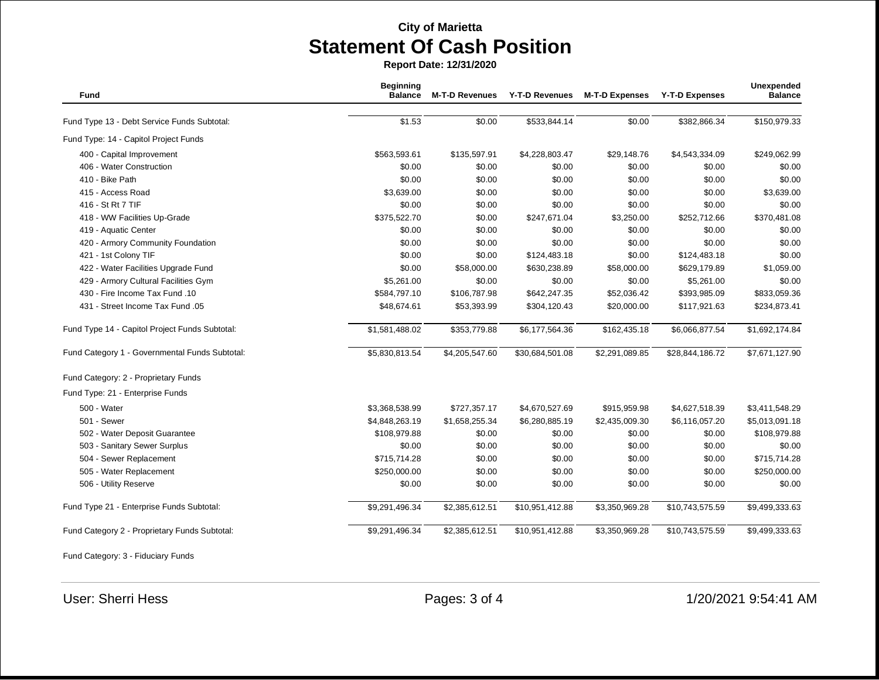**Report Date: 12/31/2020**

|                                                |                |                | Y-T-D Revenues  | <b>M-T-D Expenses</b> | <b>Y-T-D Expenses</b> | <b>Balance</b> |
|------------------------------------------------|----------------|----------------|-----------------|-----------------------|-----------------------|----------------|
|                                                |                |                |                 |                       |                       |                |
| Fund Type 13 - Debt Service Funds Subtotal:    | \$1.53         | \$0.00         | \$533,844.14    | \$0.00                | \$382,866.34          | \$150,979.33   |
| Fund Type: 14 - Capitol Project Funds          |                |                |                 |                       |                       |                |
| 400 - Capital Improvement                      | \$563,593.61   | \$135,597.91   | \$4,228,803.47  | \$29,148.76           | \$4,543,334.09        | \$249,062.99   |
| 406 - Water Construction                       | \$0.00         | \$0.00         | \$0.00          | \$0.00                | \$0.00                | \$0.00         |
| 410 - Bike Path                                | \$0.00         | \$0.00         | \$0.00          | \$0.00                | \$0.00                | \$0.00         |
| 415 - Access Road                              | \$3,639.00     | \$0.00         | \$0.00          | \$0.00                | \$0.00                | \$3,639.00     |
| 416 - St Rt 7 TIF                              | \$0.00         | \$0.00         | \$0.00          | \$0.00                | \$0.00                | \$0.00         |
| 418 - WW Facilities Up-Grade                   | \$375,522.70   | \$0.00         | \$247,671.04    | \$3,250.00            | \$252,712.66          | \$370,481.08   |
| 419 - Aquatic Center                           | \$0.00         | \$0.00         | \$0.00          | \$0.00                | \$0.00                | \$0.00         |
| 420 - Armory Community Foundation              | \$0.00         | \$0.00         | \$0.00          | \$0.00                | \$0.00                | \$0.00         |
| 421 - 1st Colony TIF                           | \$0.00         | \$0.00         | \$124,483.18    | \$0.00                | \$124,483.18          | \$0.00         |
| 422 - Water Facilities Upgrade Fund            | \$0.00         | \$58,000.00    | \$630,238.89    | \$58,000.00           | \$629,179.89          | \$1,059.00     |
| 429 - Armory Cultural Facilities Gym           | \$5,261.00     | \$0.00         | \$0.00          | \$0.00                | \$5,261.00            | \$0.00         |
| 430 - Fire Income Tax Fund .10                 | \$584,797.10   | \$106,787.98   | \$642,247.35    | \$52,036.42           | \$393,985.09          | \$833,059.36   |
| 431 - Street Income Tax Fund .05               | \$48,674.61    | \$53,393.99    | \$304,120.43    | \$20,000.00           | \$117,921.63          | \$234,873.41   |
| Fund Type 14 - Capitol Project Funds Subtotal: | \$1,581,488.02 | \$353,779.88   | \$6,177,564.36  | \$162,435.18          | \$6,066,877.54        | \$1,692,174.84 |
| Fund Category 1 - Governmental Funds Subtotal: | \$5,830,813.54 | \$4,205,547.60 | \$30,684,501.08 | \$2,291,089.85        | \$28,844,186.72       | \$7,671,127.90 |
| Fund Category: 2 - Proprietary Funds           |                |                |                 |                       |                       |                |
| Fund Type: 21 - Enterprise Funds               |                |                |                 |                       |                       |                |
| 500 - Water                                    | \$3,368,538.99 | \$727,357.17   | \$4,670,527.69  | \$915,959.98          | \$4,627,518.39        | \$3,411,548.29 |
| 501 - Sewer                                    | \$4,848,263.19 | \$1,658,255.34 | \$6,280,885.19  | \$2,435,009.30        | \$6,116,057.20        | \$5,013,091.18 |
| 502 - Water Deposit Guarantee                  | \$108,979.88   | \$0.00         | \$0.00          | \$0.00                | \$0.00                | \$108,979.88   |
| 503 - Sanitary Sewer Surplus                   | \$0.00         | \$0.00         | \$0.00          | \$0.00                | \$0.00                | \$0.00         |
| 504 - Sewer Replacement                        | \$715,714.28   | \$0.00         | \$0.00          | \$0.00                | \$0.00                | \$715,714.28   |
| 505 - Water Replacement                        | \$250,000.00   | \$0.00         | \$0.00          | \$0.00                | \$0.00                | \$250,000.00   |
| 506 - Utility Reserve                          | \$0.00         | \$0.00         | \$0.00          | \$0.00                | \$0.00                | \$0.00         |
| Fund Type 21 - Enterprise Funds Subtotal:      | \$9,291,496.34 | \$2,385,612.51 | \$10,951,412.88 | \$3,350,969.28        | \$10,743,575.59       | \$9,499,333.63 |
| Fund Category 2 - Proprietary Funds Subtotal:  | \$9,291,496.34 | \$2,385,612.51 | \$10,951,412.88 | \$3,350,969.28        | \$10,743,575.59       | \$9,499,333.63 |

Fund Category: 3 - Fiduciary Funds